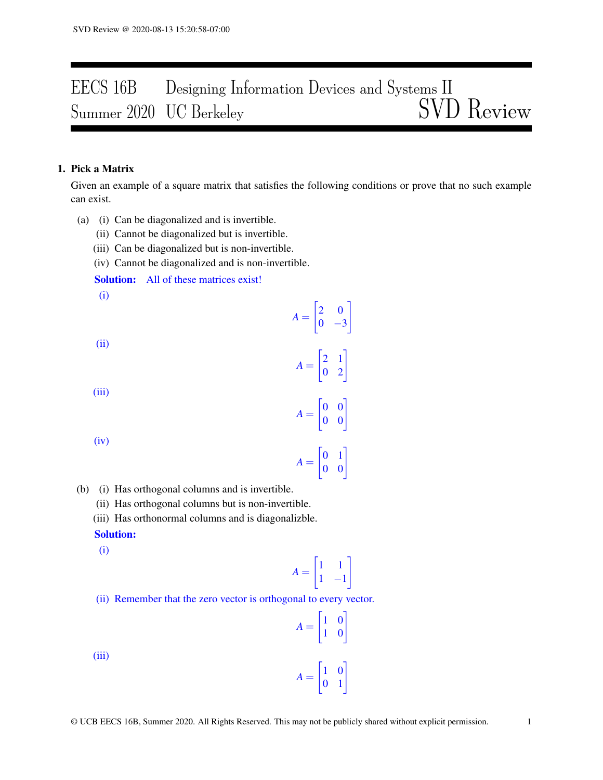# EECS 16B Designing Information Devices and Systems II<br>Summer 2020 UC Berkeley SVD Review Summer 2020 UC Berkeley

## 1. Pick a Matrix

Given an example of a square matrix that satisfies the following conditions or prove that no such example can exist.

- (a) (i) Can be diagonalized and is invertible.
	- (ii) Cannot be diagonalized but is invertible.
	- (iii) Can be diagonalized but is non-invertible.
	- (iv) Cannot be diagonalized and is non-invertible.

Solution: All of these matrices exist!

(i)

(ii)

 $A =$  $\begin{bmatrix} 2 & 1 \\ 0 & 2 \end{bmatrix}$ 

 $A =$ 

 $A =$ 

 $\begin{bmatrix} 2 & 0 \end{bmatrix}$  $0 -3$ 

1

(iii)

(iv)

$$
A = \begin{bmatrix} 0 & 1 \\ 0 & 0 \end{bmatrix}
$$

 $\begin{bmatrix} 0 & 0 \\ 0 & 0 \end{bmatrix}$ 

- (b) (i) Has orthogonal columns and is invertible.
	- (ii) Has orthogonal columns but is non-invertible.
	- (iii) Has orthonormal columns and is diagonalizble.

#### Solution:

(i)

$$
A = \begin{bmatrix} 1 & 1 \\ 1 & -1 \end{bmatrix}
$$

(ii) Remember that the zero vector is orthogonal to every vector.

$$
A = \begin{bmatrix} 1 & 0 \\ 1 & 0 \end{bmatrix}
$$

$$
A = \begin{bmatrix} 1 & 0 \\ 0 & 1 \end{bmatrix}
$$

 $A =$ 

(iii)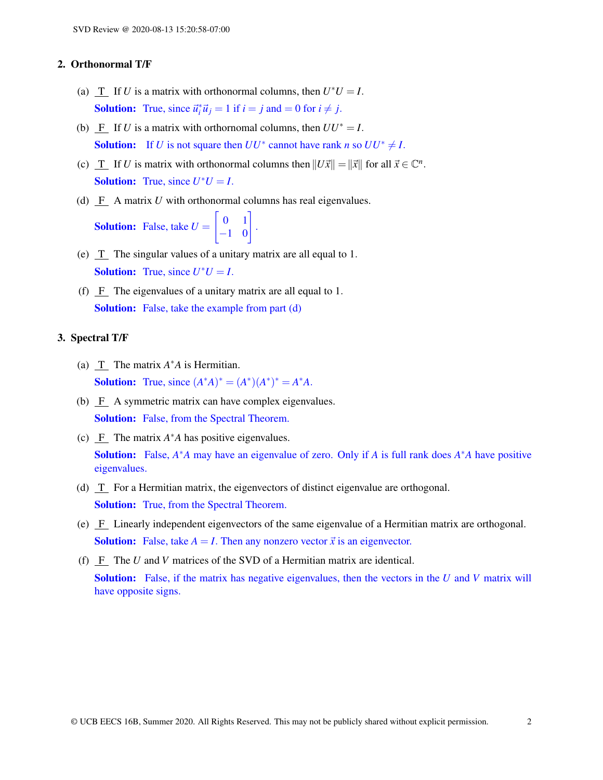#### 2. Orthonormal T/F

- (a)  $\underline{T}$  If *U* is a matrix with orthonormal columns, then  $U^*U = I$ . **Solution:** True, since  $\vec{u}_i^* \vec{u}_j = 1$  if  $i = j$  and  $= 0$  for  $i \neq j$ .
- (b) F If *U* is a matrix with orthornomal columns, then  $UU^* = I$ . **Solution:** If *U* is not square then  $UU^*$  cannot have rank *n* so  $UU^* \neq I$ .
- (c)  $\underline{T}$  If *U* is matrix with orthonormal columns then  $||U\vec{x}|| = ||\vec{x}||$  for all  $\vec{x} \in \mathbb{C}^n$ . **Solution:** True, since  $U^*U = I$ .
- (d) F A matrix *U* with orthonormal columns has real eigenvalues.

Solution: False, take *U* =  $\begin{bmatrix} 0 & 1 \\ -1 & 0 \end{bmatrix}$ .

- (e) T The singular values of a unitary matrix are all equal to 1. **Solution:** True, since  $U^*U = I$ .
- (f) F The eigenvalues of a unitary matrix are all equal to 1. Solution: False, take the example from part (d)

## 3. Spectral T/F

- (a)  $\Gamma$  The matrix  $A^*A$  is Hermitian. **Solution:** True, since  $(A^*A)^* = (A^*)(A^*)^* = A^*A$ .
- (b)  $\overline{F}$  A symmetric matrix can have complex eigenvalues. Solution: False, from the Spectral Theorem.
- (c)  $\overline{F}$  The matrix  $A^*A$  has positive eigenvalues. Solution: False, *A* <sup>∗</sup>*A* may have an eigenvalue of zero. Only if *A* is full rank does *A* <sup>∗</sup>*A* have positive eigenvalues.
- (d)  $T$  For a Hermitian matrix, the eigenvectors of distinct eigenvalue are orthogonal. Solution: True, from the Spectral Theorem.
- (e) F Linearly independent eigenvectors of the same eigenvalue of a Hermitian matrix are orthogonal. **Solution:** False, take  $A = I$ . Then any nonzero vector  $\vec{x}$  is an eigenvector.
- (f) F The *U* and *V* matrices of the SVD of a Hermitian matrix are identical. Solution: False, if the matrix has negative eigenvalues, then the vectors in the *U* and *V* matrix will have opposite signs.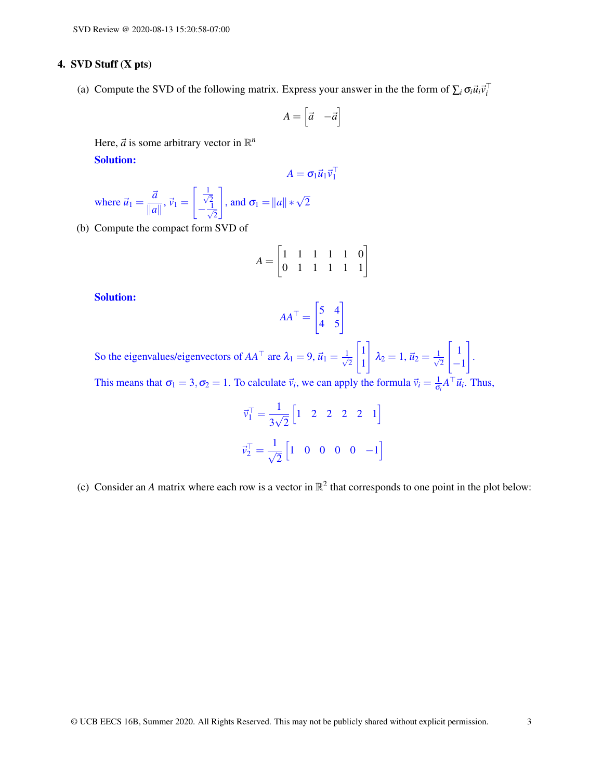## 4. SVD Stuff (X pts)

(a) Compute the SVD of the following matrix. Express your answer in the the form of  $\sum_i \sigma_i \vec{u}_i \vec{v}_i^T$ 

$$
A = \begin{bmatrix} \vec{a} & -\vec{a} \end{bmatrix}
$$

Here,  $\vec{a}$  is some arbitrary vector in  $\mathbb{R}^n$ 

Solution:

$$
A = \sigma_1 \vec{u}_1 \vec{v}_1^\top
$$

where 
$$
\vec{u}_1 = \frac{\vec{a}}{\|\vec{a}\|}, \vec{v}_1 = \begin{bmatrix} \frac{1}{\sqrt{2}} \\ -\frac{1}{\sqrt{2}} \end{bmatrix}
$$
, and  $\sigma_1 = \|a\| * \sqrt{2}$ 

(b) Compute the compact form SVD of

$$
A = \begin{bmatrix} 1 & 1 & 1 & 1 & 1 & 0 \\ 0 & 1 & 1 & 1 & 1 & 1 \end{bmatrix}
$$

#### Solution:

$$
AA^{\top} = \begin{bmatrix} 5 & 4 \\ 4 & 5 \end{bmatrix}
$$

So the eigenvalues/eigenvectors of  $AA^{\top}$  are  $\lambda_1 = 9$ ,  $\vec{u}_1 = \frac{1}{\sqrt{2}}$ 2  $\lceil 1 \rceil$ 1 1  $\lambda_2 = 1, \, \vec{u}_2 = \frac{1}{\sqrt{2}}$ 2  $\lceil 1 \rceil$ −1 1 .

This means that  $\sigma_1 = 3, \sigma_2 = 1$ . To calculate  $\vec{v}_i$ , we can apply the formula  $\vec{v}_i = \frac{1}{\sigma}$  $\frac{1}{\sigma_i} A^\top \vec{u}_i$ . Thus,

$$
\vec{v}_1^{\top} = \frac{1}{3\sqrt{2}} \begin{bmatrix} 1 & 2 & 2 & 2 & 2 & 1 \end{bmatrix}
$$
  

$$
\vec{v}_2^{\top} = \frac{1}{\sqrt{2}} \begin{bmatrix} 1 & 0 & 0 & 0 & 0 & -1 \end{bmatrix}
$$

(c) Consider an *A* matrix where each row is a vector in  $\mathbb{R}^2$  that corresponds to one point in the plot below: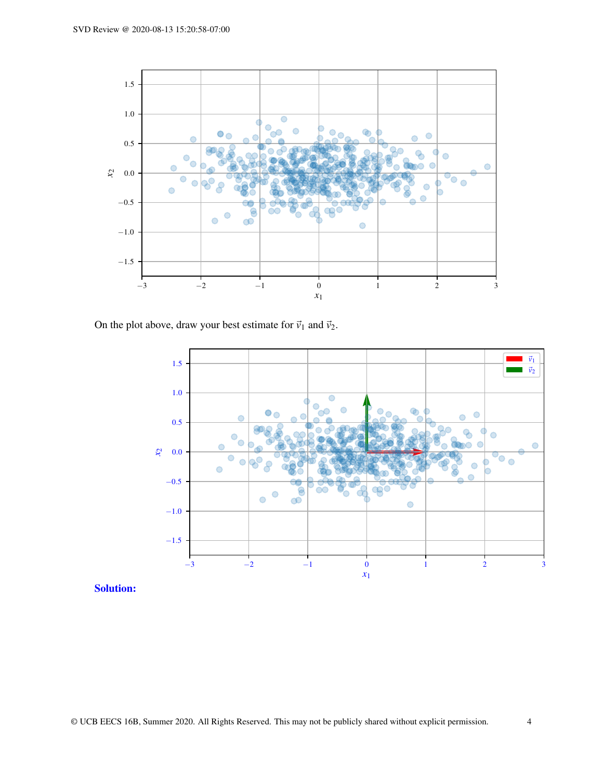

On the plot above, draw your best estimate for  $\vec{v}_1$  and  $\vec{v}_2$ .



Solution: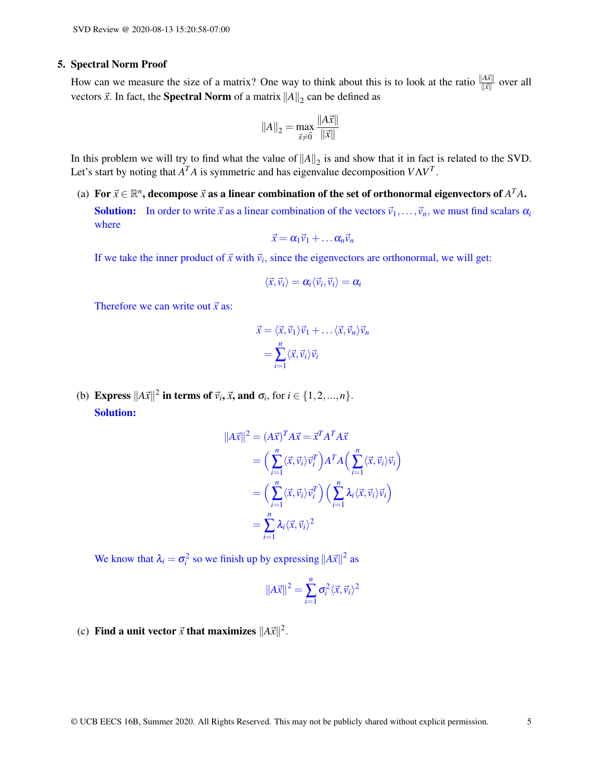#### 5. Spectral Norm Proof

How can we measure the size of a matrix? One way to think about this is to look at the ratio  $\frac{||A\vec{x}||}{\|\vec{x}\|}$  over all vectors  $\vec{x}$ . In fact, the **Spectral Norm** of a matrix  $||A||_2$  can be defined as

$$
||A||_2 = \max_{\vec{x} \neq \vec{0}} \frac{||A\vec{x}||}{||\vec{x}||}
$$

In this problem we will try to find what the value of  $||A||_2$  is and show that it in fact is related to the SVD. Let's start by noting that  $A<sup>T</sup>A$  is symmetric and has eigenvalue decomposition  $V\Lambda V<sup>T</sup>$ .

(a) For  $\vec{x} \in \mathbb{R}^n$ , decompose  $\vec{x}$  as a linear combination of the set of orthonormal eigenvectors of  $A^TA$ . **Solution:** In order to write  $\vec{x}$  as a linear combination of the vectors  $\vec{v}_1, \ldots, \vec{v}_n$ , we must find scalars  $\alpha_i$ where

$$
\vec{x} = \alpha_1 \vec{v}_1 + \dots \alpha_n \vec{v}_n
$$

If we take the inner product of  $\vec{x}$  with  $\vec{v}_i$ , since the eigenvectors are orthonormal, we will get:

$$
\langle\vec{x},\vec{v}_i\rangle=\pmb{\alpha}_i\langle\vec{v}_i,\vec{v}_i\rangle=\pmb{\alpha}_i
$$

Therefore we can write out  $\vec{x}$  as:

$$
\vec{x} = \langle \vec{x}, \vec{v}_1 \rangle \vec{v}_1 + \dots \langle \vec{x}, \vec{v}_n \rangle \vec{v}_n
$$

$$
= \sum_{i=1}^n \langle \vec{x}, \vec{v}_i \rangle \vec{v}_i
$$

(b) **Express**  $||A\vec{x}||^2$  in terms of  $\vec{v}_i$ ,  $\vec{x}$ , and  $\sigma_i$ , for  $i \in \{1, 2, ..., n\}$ . Solution:

$$
||A\vec{x}||^2 = (A\vec{x})^T A \vec{x} = \vec{x}^T A^T A \vec{x}
$$
  
=  $\left(\sum_{i=1}^n \langle \vec{x}, \vec{v}_i \rangle \vec{v}_i^T\right) A^T A \left(\sum_{i=1}^n \langle \vec{x}, \vec{v}_i \rangle \vec{v}_i\right)$   
=  $\left(\sum_{i=1}^n \langle \vec{x}, \vec{v}_i \rangle \vec{v}_i^T\right) \left(\sum_{i=1}^n \lambda_i \langle \vec{x}, \vec{v}_i \rangle \vec{v}_i\right)$   
=  $\sum_{i=1}^n \lambda_i \langle \vec{x}, \vec{v}_i \rangle^2$ 

We know that  $\lambda_i = \sigma_i^2$  so we finish up by expressing  $||A\vec{x}||^2$  as

$$
||A\vec{x}||^2 = \sum_{i=1}^n \sigma_i^2 \langle \vec{x}, \vec{v}_i \rangle^2
$$

(c) Find a unit vector  $\vec{x}$  that maximizes  $||A\vec{x}||^2$ .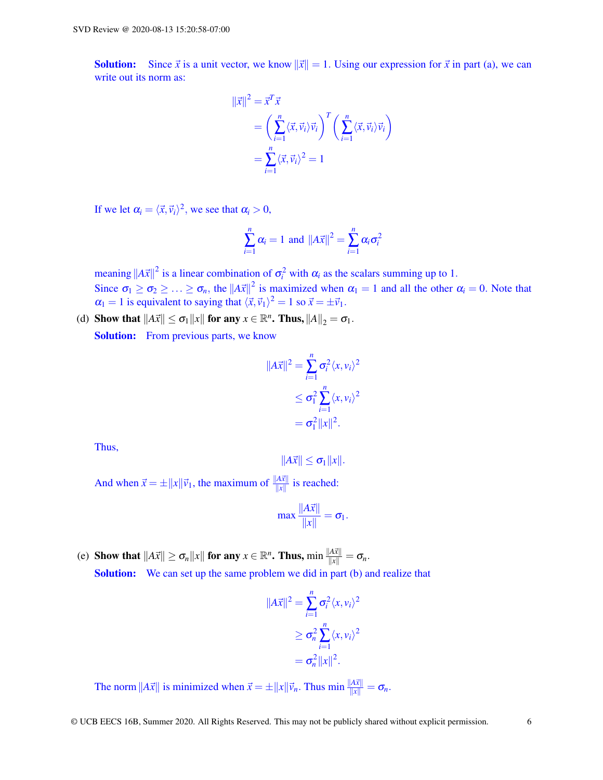**Solution:** Since  $\vec{x}$  is a unit vector, we know  $\|\vec{x}\| = 1$ . Using our expression for  $\vec{x}$  in part (a), we can write out its norm as:

$$
\begin{aligned} \|\vec{x}\|^2 &= \vec{x}^T \vec{x} \\ &= \left(\sum_{i=1}^n \langle \vec{x}, \vec{v}_i \rangle \vec{v}_i\right)^T \left(\sum_{i=1}^n \langle \vec{x}, \vec{v}_i \rangle \vec{v}_i\right) \\ &= \sum_{i=1}^n \langle \vec{x}, \vec{v}_i \rangle^2 = 1 \end{aligned}
$$

If we let  $\alpha_i = \langle \vec{x}, \vec{v}_i \rangle^2$ , we see that  $\alpha_i > 0$ ,

$$
\sum_{i=1}^n \alpha_i = 1 \text{ and } ||A\vec{x}||^2 = \sum_{i=1}^n \alpha_i \sigma_i^2
$$

meaning  $||A\vec{x}||^2$  is a linear combination of  $\sigma_i^2$  with  $\alpha_i$  as the scalars summing up to 1. Since  $\sigma_1 \ge \sigma_2 \ge \ldots \ge \sigma_n$ , the  $||A\vec{x}||^2$  is maximized when  $\alpha_1 = 1$  and all the other  $\alpha_i = 0$ . Note that  $\alpha_1 = 1$  is equivalent to saying that  $\langle \vec{x}, \vec{v}_1 \rangle^2 = 1$  so  $\vec{x} = \pm \vec{v}_1$ .

(d) Show that  $||A\vec{x}|| \leq \sigma_1 ||x||$  for any  $x \in \mathbb{R}^n$ . Thus,  $||A||_2 = \sigma_1$ .

Solution: From previous parts, we know

$$
||A\vec{x}||^2 = \sum_{i=1}^n \sigma_i^2 \langle x, v_i \rangle^2
$$
  
\n
$$
\leq \sigma_1^2 \sum_{i=1}^n \langle x, v_i \rangle^2
$$
  
\n
$$
= \sigma_1^2 ||x||^2.
$$

Thus,

$$
||A\vec{x}|| \leq \sigma_1 ||x||.
$$

And when  $\vec{x} = \pm ||x|| \vec{v}_1$ , the maximum of  $\frac{||A\vec{x}||}{||x||}$  is reached:

$$
\max \frac{\|A\vec{x}\|}{\|x\|} = \sigma_1.
$$

(e) Show that  $||A\vec{x}|| \ge \sigma_n ||x||$  for any  $x \in \mathbb{R}^n$ . Thus,  $\min \frac{||A\vec{x}||}{||x||} = \sigma_n$ . Solution: We can set up the same problem we did in part (b) and realize that

$$
||A\vec{x}||^2 = \sum_{i=1}^n \sigma_i^2 \langle x, v_i \rangle^2
$$
  
\n
$$
\geq \sigma_n^2 \sum_{i=1}^n \langle x, v_i \rangle^2
$$
  
\n
$$
= \sigma_n^2 ||x||^2.
$$

The norm  $||A\vec{x}||$  is minimized when  $\vec{x} = \pm ||x||\vec{v}_n$ . Thus min  $\frac{||A\vec{x}||}{||x||} = \sigma_n$ .

© UCB EECS 16B, Summer 2020. All Rights Reserved. This may not be publicly shared without explicit permission. 6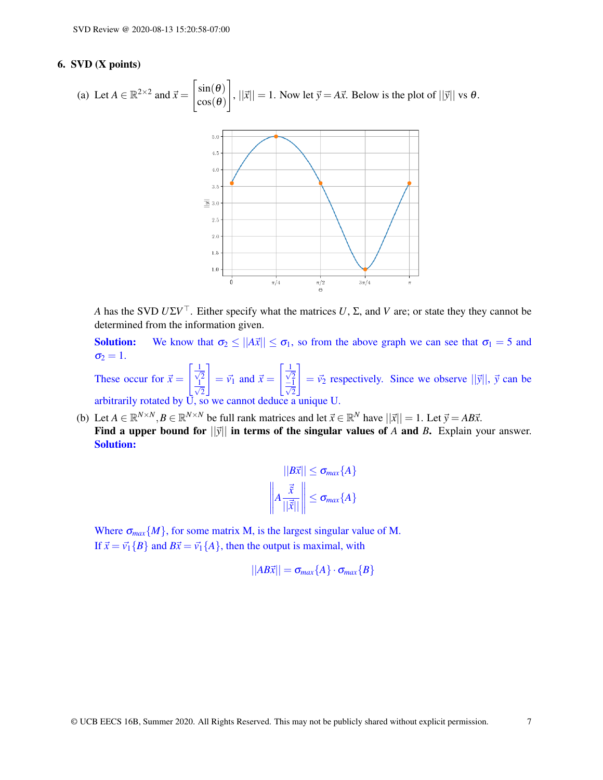## 6. SVD (X points)

(a) Let 
$$
A \in \mathbb{R}^{2 \times 2}
$$
 and  $\vec{x} = \begin{bmatrix} \sin(\theta) \\ \cos(\theta) \end{bmatrix}$ ,  $||\vec{x}|| = 1$ . Now let  $\vec{y} = A\vec{x}$ . Below is the plot of  $||\vec{y}||$  vs  $\theta$ .



*A* has the SVD *U*Σ*V* <sup>&</sup>gt;. Either specify what the matrices *U*, Σ, and *V* are; or state they they cannot be determined from the information given.

**Solution:** We know that  $\sigma_2 \le ||A\vec{x}|| \le \sigma_1$ , so from the above graph we can see that  $\sigma_1 = 5$  and  $\sigma_2 = 1$ .

These occur for  $\vec{x} =$  $\lceil \frac{1}{2} \rceil$ 2 √ 1 2 1  $= \vec{v_1}$  and  $\vec{x} =$  $\lceil \frac{1}{2} \rceil$  $\frac{\sqrt{2}}{\sqrt{2}}$ 1  $= \vec{v}_2$  respectively. Since we observe  $||\vec{y}||$ ,  $\vec{y}$  can be arbitrarily rotated by U, so we cannot deduce a unique U.

(b) Let  $A \in \mathbb{R}^{N \times N}, B \in \mathbb{R}^{N \times N}$  be full rank matrices and let  $\vec{x} \in \mathbb{R}^{N}$  have  $||\vec{x}|| = 1$ . Let  $\vec{y} = AB\vec{x}$ .

Find a upper bound for  $||\vec{y}||$  in terms of the singular values of *A* and *B*. Explain your answer. Solution:

$$
||B\vec{x}|| \leq \sigma_{max}\{A\}
$$

$$
\left\| A \frac{\vec{\tilde{x}}}{||\vec{x}||} \right\| \leq \sigma_{max}\{A\}
$$

Where  $\sigma_{max}\{M\}$ , for some matrix M, is the largest singular value of M. If  $\vec{x} = \vec{v_1}{B}$  and  $B\vec{x} = \vec{v_1}{A}$ , then the output is maximal, with

$$
||AB\vec{x}|| = \sigma_{max}\{A\} \cdot \sigma_{max}\{B\}
$$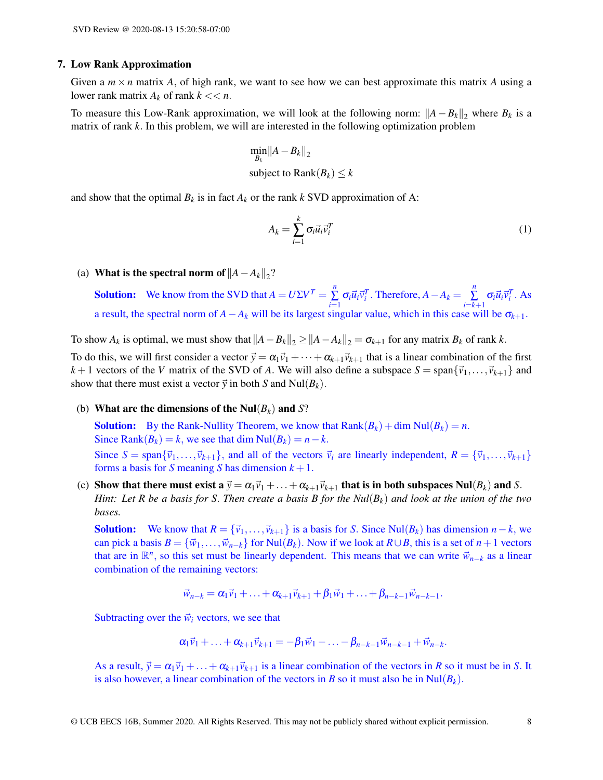#### 7. Low Rank Approximation

Given a  $m \times n$  matrix A, of high rank, we want to see how we can best approximate this matrix A using a lower rank matrix  $A_k$  of rank  $k \ll n$ .

To measure this Low-Rank approximation, we will look at the following norm:  $||A – B_k||_2$  where  $B_k$  is a matrix of rank *k*. In this problem, we will are interested in the following optimization problem

$$
\min_{B_k} \|A - B_k\|_2
$$
  
subject to  $\text{Rank}(B_k) \le k$ 

and show that the optimal  $B_k$  is in fact  $A_k$  or the rank  $k$  SVD approximation of A:

$$
A_k = \sum_{i=1}^k \sigma_i \vec{u}_i \vec{v}_i^T
$$
 (1)

(a) **What is the spectral norm of**  $||A - A_k||_2$ **?** 

**Solution:** We know from the SVD that  $A = U\Sigma V^T = \sum_{n=1}^{n}$  $\sum_{i=1}^{n} \sigma_i \vec{u}_i \vec{v}_i^T$ . Therefore,  $A - A_k = \sum_{i=k}^{n}$  $\sum_{i=k+1}^{\infty} \sigma_i \vec{u}_i \vec{v}_i^T$ . As a result, the spectral norm of  $A - A_k$  will be its largest singular value, which in this case will be  $\sigma_{k+1}$ .

To show  $A_k$  is optimal, we must show that  $||A - B_k||_2 \ge ||A - A_k||_2 = \sigma_{k+1}$  for any matrix  $B_k$  of rank  $k$ .

To do this, we will first consider a vector  $\vec{y} = \alpha_1 \vec{v}_1 + \cdots + \alpha_{k+1} \vec{v}_{k+1}$  that is a linear combination of the first  $k+1$  vectors of the *V* matrix of the SVD of *A*. We will also define a subspace  $S = \text{span}\{\vec{v}_1,\ldots,\vec{v}_{k+1}\}\$  and show that there must exist a vector  $\vec{y}$  in both *S* and Nul( $B_k$ ).

(b) What are the dimensions of the Nul(*Bk*) and *S*?

**Solution:** By the Rank-Nullity Theorem, we know that  $\text{Rank}(B_k) + \dim \text{Nul}(B_k) = n$ . Since Rank $(B_k) = k$ , we see that dim Nul $(B_k) = n - k$ . Since  $S = \text{span}\{\vec{v}_1,\ldots,\vec{v}_{k+1}\}\$ , and all of the vectors  $\vec{v}_i$  are linearly independent,  $R = \{\vec{v}_1,\ldots,\vec{v}_{k+1}\}\$ forms a basis for *S* meaning *S* has dimension  $k + 1$ .

(c) Show that there must exist a  $\vec{y} = \alpha_1 \vec{v}_1 + ... + \alpha_{k+1} \vec{v}_{k+1}$  that is in both subspaces Nul( $B_k$ ) and *S*. *Hint: Let R be a basis for S*. *Then create a basis B for the Nul*(*Bk*) *and look at the union of the two bases.*

**Solution:** We know that  $R = {\vec{v}_1, ..., \vec{v}_{k+1}}$  is a basis for *S*. Since Nul( $B_k$ ) has dimension  $n - k$ , we can pick a basis  $B = \{\vec{w}_1, \ldots, \vec{w}_{n-k}\}\$  for Nul( $B_k$ ). Now if we look at  $R \cup B$ , this is a set of  $n+1$  vectors that are in  $\mathbb{R}^n$ , so this set must be linearly dependent. This means that we can write  $\vec{w}_{n-k}$  as a linear combination of the remaining vectors:

$$
\vec{w}_{n-k} = \alpha_1 \vec{v}_1 + \ldots + \alpha_{k+1} \vec{v}_{k+1} + \beta_1 \vec{w}_1 + \ldots + \beta_{n-k-1} \vec{w}_{n-k-1}.
$$

Subtracting over the  $\vec{w}_i$  vectors, we see that

$$
\alpha_1 \vec{v}_1 + \ldots + \alpha_{k+1} \vec{v}_{k+1} = -\beta_1 \vec{w}_1 - \ldots - \beta_{n-k-1} \vec{w}_{n-k-1} + \vec{w}_{n-k}.
$$

As a result,  $\vec{y} = \alpha_1 \vec{v}_1 + \ldots + \alpha_{k+1} \vec{v}_{k+1}$  is a linear combination of the vectors in *R* so it must be in *S*. It is also however, a linear combination of the vectors in *B* so it must also be in  $\text{Nul}(B_k)$ .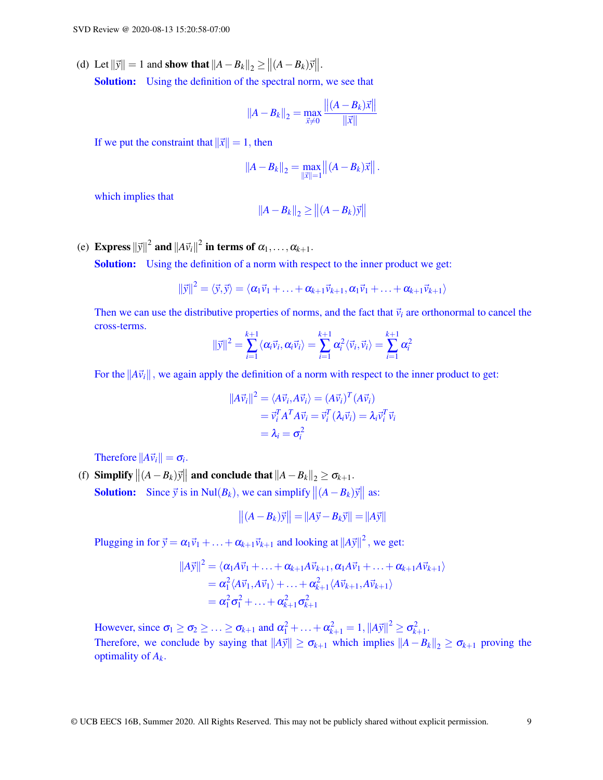(d) Let  $\|\vec{y}\| = 1$  and show that  $\|A - B_k\|_2 \ge \|(A - B_k)\vec{y}\|$ . Solution: Using the definition of the spectral norm, we see that

$$
||A - B_k||_2 = \max_{\vec{x} \neq 0} \frac{||(A - B_k)\vec{x}||}{||\vec{x}||}
$$

If we put the constraint that  $\|\vec{x}\| = 1$ , then

$$
||A - B_k||_2 = \max_{||\vec{x}||=1} ||(A - B_k)\vec{x}||.
$$

which implies that

$$
||A - B_k||_2 \ge ||(A - B_k)\vec{y}||
$$

(e) **Express**  $\|\vec{y}\|^2$  and  $\|A\vec{v}_i\|^2$  in terms of  $\alpha_1,\ldots,\alpha_{k+1}$ .

Solution: Using the definition of a norm with respect to the inner product we get:

$$
\|\vec{y}\|^2 = \langle \vec{y}, \vec{y} \rangle = \langle \alpha_1 \vec{v}_1 + \ldots + \alpha_{k+1} \vec{v}_{k+1}, \alpha_1 \vec{v}_1 + \ldots + \alpha_{k+1} \vec{v}_{k+1} \rangle
$$

Then we can use the distributive properties of norms, and the fact that  $\vec{v}_i$  are orthonormal to cancel the cross-terms.

$$
\|\vec{y}\|^2 = \sum_{i=1}^{k+1} \langle \alpha_i \vec{v}_i, \alpha_i \vec{v}_i \rangle = \sum_{i=1}^{k+1} \alpha_i^2 \langle \vec{v}_i, \vec{v}_i \rangle = \sum_{i=1}^{k+1} \alpha_i^2
$$

For the  $||A\vec{v}_i||$ , we again apply the definition of a norm with respect to the inner product to get:

$$
||A\vec{v}_i||^2 = \langle A\vec{v}_i, A\vec{v}_i \rangle = (A\vec{v}_i)^T (A\vec{v}_i)
$$
  
=  $\vec{v}_i^T A^T A \vec{v}_i = \vec{v}_i^T (\lambda_i \vec{v}_i) = \lambda_i \vec{v}_i^T \vec{v}_i$   
=  $\lambda_i = \sigma_i^2$ 

Therefore  $||A\vec{v}_i|| = \sigma_i$ .

(f) Simplify  $||(A - B_k)\vec{y}||$  and conclude that  $||A - B_k||_2 \ge \sigma_{k+1}$ . **Solution:** Since  $\vec{y}$  is in Nul(*B*<sub>*k*</sub>), we can simplify  $||(A - B_k)\vec{y}||$  as:

$$
\left\| (A - B_k) \vec{y} \right\| = \|A \vec{y} - B_k \vec{y}\| = \|A \vec{y}\|
$$

Plugging in for  $\vec{y} = \alpha_1 \vec{v}_1 + ... + \alpha_{k+1} \vec{v}_{k+1}$  and looking at  $||A\vec{y}||^2$ , we get:

$$
||A\vec{y}||^2 = \langle \alpha_1 A\vec{v}_1 + \ldots + \alpha_{k+1} A\vec{v}_{k+1}, \alpha_1 A\vec{v}_1 + \ldots + \alpha_{k+1} A\vec{v}_{k+1} \rangle
$$
  
=  $\alpha_1^2 \langle A\vec{v}_1, A\vec{v}_1 \rangle + \ldots + \alpha_{k+1}^2 \langle A\vec{v}_{k+1}, A\vec{v}_{k+1} \rangle$   
=  $\alpha_1^2 \sigma_1^2 + \ldots + \alpha_{k+1}^2 \sigma_{k+1}^2$ 

However, since  $\sigma_1 \ge \sigma_2 \ge \ldots \ge \sigma_{k+1}$  and  $\alpha_1^2 + \ldots + \alpha_{k+1}^2 = 1$ ,  $||A\vec{y}||^2 \ge \sigma_{k+1}^2$ . Therefore, we conclude by saying that  $||A\vec{y}|| \ge \sigma_{k+1}$  which implies  $||A - B_k||_2 \ge \sigma_{k+1}$  proving the optimality of *Ak*.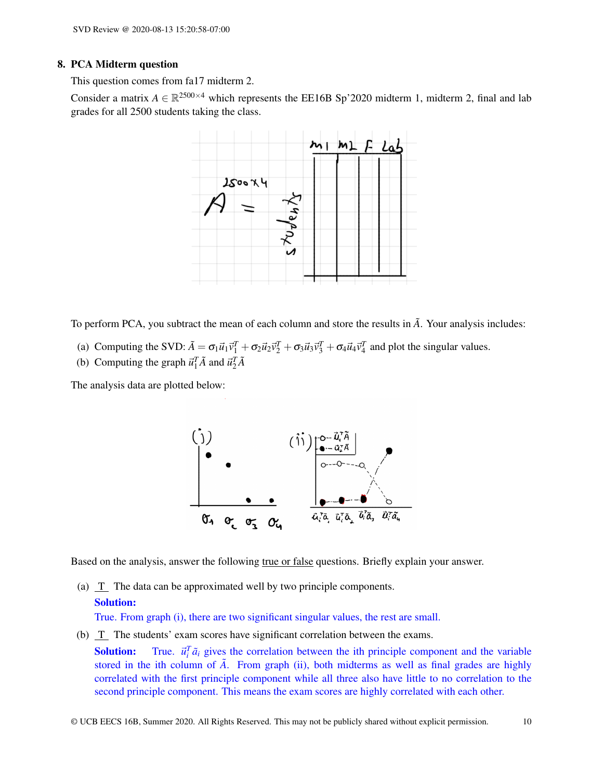#### 8. PCA Midterm question

This question comes from fa17 midterm 2.

Consider a matrix  $A \in \mathbb{R}^{2500 \times 4}$  which represents the EE16B Sp'2020 midterm 1, midterm 2, final and lab grades for all 2500 students taking the class.



To perform PCA, you subtract the mean of each column and store the results in  $\tilde{A}$ . Your analysis includes:

- (a) Computing the SVD:  $\tilde{A} = \sigma_1 \vec{u}_1 \vec{v}_1^T + \sigma_2 \vec{u}_2 \vec{v}_2^T + \sigma_3 \vec{u}_3 \vec{v}_3^T + \sigma_4 \vec{u}_4 \vec{v}_4^T$  and plot the singular values.
- (b) Computing the graph  $\vec{u}_1^T \tilde{A}$  and  $\vec{u}_2^T \tilde{A}$

The analysis data are plotted below:



Based on the analysis, answer the following true or false questions. Briefly explain your answer.

(a) T The data can be approximated well by two principle components.

# Solution:

True. From graph (i), there are two significant singular values, the rest are small.

(b) T The students' exam scores have significant correlation between the exams.

**Solution:** True.  $\vec{u}_i^T \vec{a}_i$  gives the correlation between the ith principle component and the variable stored in the ith column of  $\tilde{A}$ . From graph (ii), both midterms as well as final grades are highly correlated with the first principle component while all three also have little to no correlation to the second principle component. This means the exam scores are highly correlated with each other.